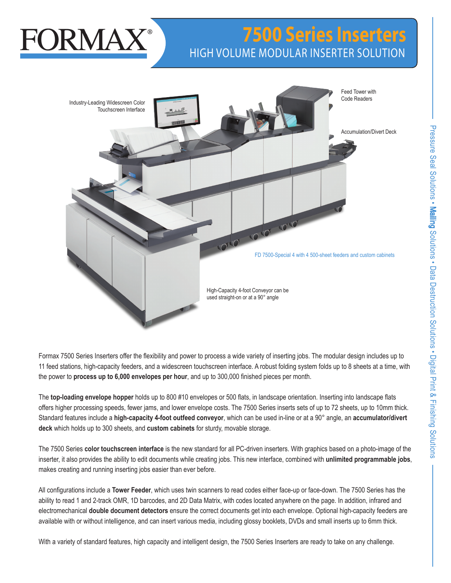# **7500 Series Inserters** HIGH VOLUME MODULAR INSERTER SOLUTION



High-Capacity 4-foot Conveyor can be used straight-on or at a 90° angle

Formax 7500 Series Inserters offer the flexibility and power to process a wide variety of inserting jobs. The modular design includes up to 11 feed stations, high-capacity feeders, and a widescreen touchscreen interface. A robust folding system folds up to 8 sheets at a time, with the power to **process up to 6,000 envelopes per hour**, and up to 300,000 finished pieces per month.

The **top-loading envelope hopper** holds up to 800 #10 envelopes or 500 flats, in landscape orientation. Inserting into landscape flats offers higher processing speeds, fewer jams, and lower envelope costs. The 7500 Series inserts sets of up to 72 sheets, up to 10mm thick. Standard features include a **high-capacity 4-foot outfeed conveyor**, which can be used in-line or at a 90° angle, an **accumulator/divert deck** which holds up to 300 sheets, and **custom cabinets** for sturdy, movable storage.

The 7500 Series **color touchscreen interface** is the new standard for all PC-driven inserters. With graphics based on a photo-image of the inserter, it also provides the ability to edit documents while creating jobs. This new interface, combined with **unlimited programmable jobs**, makes creating and running inserting jobs easier than ever before.

All configurations include a **Tower Feeder**, which uses twin scanners to read codes either face-up or face-down. The 7500 Series has the ability to read 1 and 2-track OMR, 1D barcodes, and 2D Data Matrix, with codes located anywhere on the page. In addition, infrared and electromechanical **double document detectors** ensure the correct documents get into each envelope. Optional high-capacity feeders are available with or without intelligence, and can insert various media, including glossy booklets, DVDs and small inserts up to 6mm thick.

With a variety of standard features, high capacity and intelligent design, the 7500 Series Inserters are ready to take on any challenge.